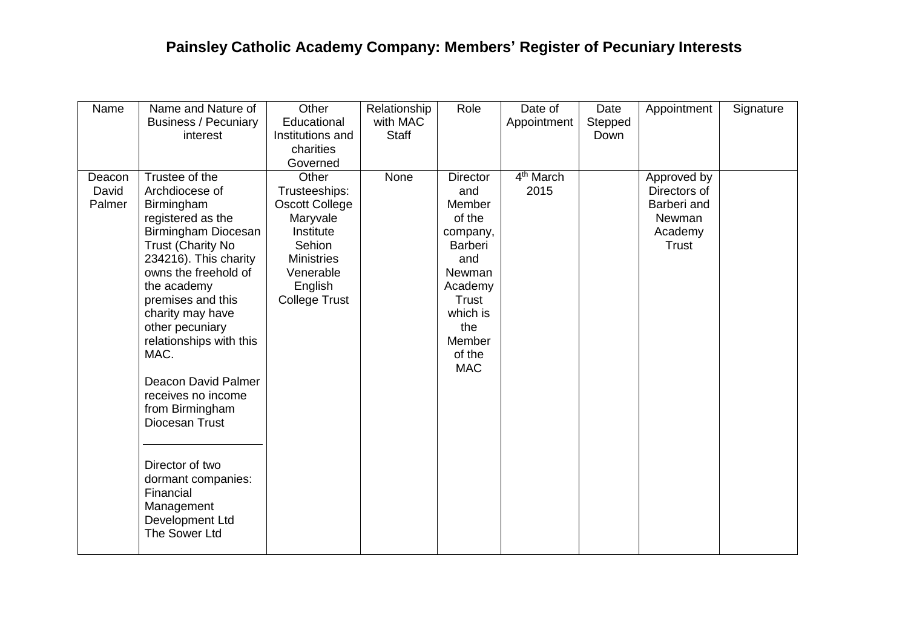| Name   | Name and Nature of                         | Other                | Relationship | Role            | Date of               | Date    | Appointment  | Signature |
|--------|--------------------------------------------|----------------------|--------------|-----------------|-----------------------|---------|--------------|-----------|
|        | <b>Business / Pecuniary</b>                | Educational          | with MAC     |                 | Appointment           | Stepped |              |           |
|        | interest                                   | Institutions and     | <b>Staff</b> |                 |                       | Down    |              |           |
|        |                                            | charities            |              |                 |                       |         |              |           |
|        |                                            | Governed             |              |                 |                       |         |              |           |
| Deacon | Trustee of the                             | Other                | None         | <b>Director</b> | 4 <sup>th</sup> March |         | Approved by  |           |
| David  | Archdiocese of                             | Trusteeships:        |              | and             | 2015                  |         | Directors of |           |
| Palmer | Birmingham                                 | Oscott College       |              | Member          |                       |         | Barberi and  |           |
|        | registered as the                          | Maryvale             |              | of the          |                       |         | Newman       |           |
|        | Birmingham Diocesan                        | Institute            |              | company,        |                       |         | Academy      |           |
|        | <b>Trust (Charity No</b>                   | Sehion               |              | <b>Barberi</b>  |                       |         | <b>Trust</b> |           |
|        | 234216). This charity                      | <b>Ministries</b>    |              | and             |                       |         |              |           |
|        | owns the freehold of                       | Venerable            |              | Newman          |                       |         |              |           |
|        | the academy                                | English              |              | Academy         |                       |         |              |           |
|        | premises and this                          | <b>College Trust</b> |              | <b>Trust</b>    |                       |         |              |           |
|        | charity may have                           |                      |              | which is<br>the |                       |         |              |           |
|        | other pecuniary<br>relationships with this |                      |              | Member          |                       |         |              |           |
|        | MAC.                                       |                      |              | of the          |                       |         |              |           |
|        |                                            |                      |              | <b>MAC</b>      |                       |         |              |           |
|        | Deacon David Palmer                        |                      |              |                 |                       |         |              |           |
|        | receives no income                         |                      |              |                 |                       |         |              |           |
|        | from Birmingham                            |                      |              |                 |                       |         |              |           |
|        | Diocesan Trust                             |                      |              |                 |                       |         |              |           |
|        |                                            |                      |              |                 |                       |         |              |           |
|        |                                            |                      |              |                 |                       |         |              |           |
|        | Director of two                            |                      |              |                 |                       |         |              |           |
|        | dormant companies:                         |                      |              |                 |                       |         |              |           |
|        | Financial                                  |                      |              |                 |                       |         |              |           |
|        | Management                                 |                      |              |                 |                       |         |              |           |
|        | Development Ltd                            |                      |              |                 |                       |         |              |           |
|        | The Sower Ltd                              |                      |              |                 |                       |         |              |           |
|        |                                            |                      |              |                 |                       |         |              |           |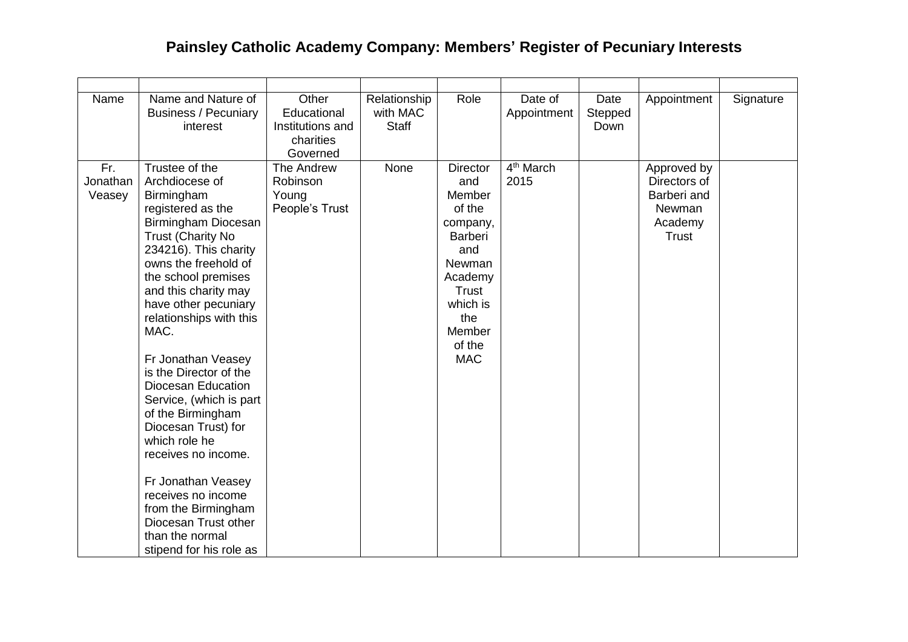| Name                      | Name and Nature of<br><b>Business / Pecuniary</b><br>interest                                                                                                                                                                                                                                                                                                                                                                                                                                                                                                                                                          | Other<br>Educational<br>Institutions and<br>charities<br>Governed | Relationship<br>with MAC<br><b>Staff</b> | Role                                                                                                                                                                      | Date of<br>Appointment        | Date<br>Stepped<br>Down | Appointment                                                                            | Signature |
|---------------------------|------------------------------------------------------------------------------------------------------------------------------------------------------------------------------------------------------------------------------------------------------------------------------------------------------------------------------------------------------------------------------------------------------------------------------------------------------------------------------------------------------------------------------------------------------------------------------------------------------------------------|-------------------------------------------------------------------|------------------------------------------|---------------------------------------------------------------------------------------------------------------------------------------------------------------------------|-------------------------------|-------------------------|----------------------------------------------------------------------------------------|-----------|
| Fr.<br>Jonathan<br>Veasey | Trustee of the<br>Archdiocese of<br>Birmingham<br>registered as the<br>Birmingham Diocesan<br><b>Trust (Charity No</b><br>234216). This charity<br>owns the freehold of<br>the school premises<br>and this charity may<br>have other pecuniary<br>relationships with this<br>MAC.<br>Fr Jonathan Veasey<br>is the Director of the<br><b>Diocesan Education</b><br>Service, (which is part<br>of the Birmingham<br>Diocesan Trust) for<br>which role he<br>receives no income.<br>Fr Jonathan Veasey<br>receives no income<br>from the Birmingham<br>Diocesan Trust other<br>than the normal<br>stipend for his role as | The Andrew<br>Robinson<br>Young<br>People's Trust                 | None                                     | <b>Director</b><br>and<br>Member<br>of the<br>company,<br><b>Barberi</b><br>and<br>Newman<br>Academy<br><b>Trust</b><br>which is<br>the<br>Member<br>of the<br><b>MAC</b> | 4 <sup>th</sup> March<br>2015 |                         | Approved by<br>Directors of<br>Barberi and<br><b>Newman</b><br>Academy<br><b>Trust</b> |           |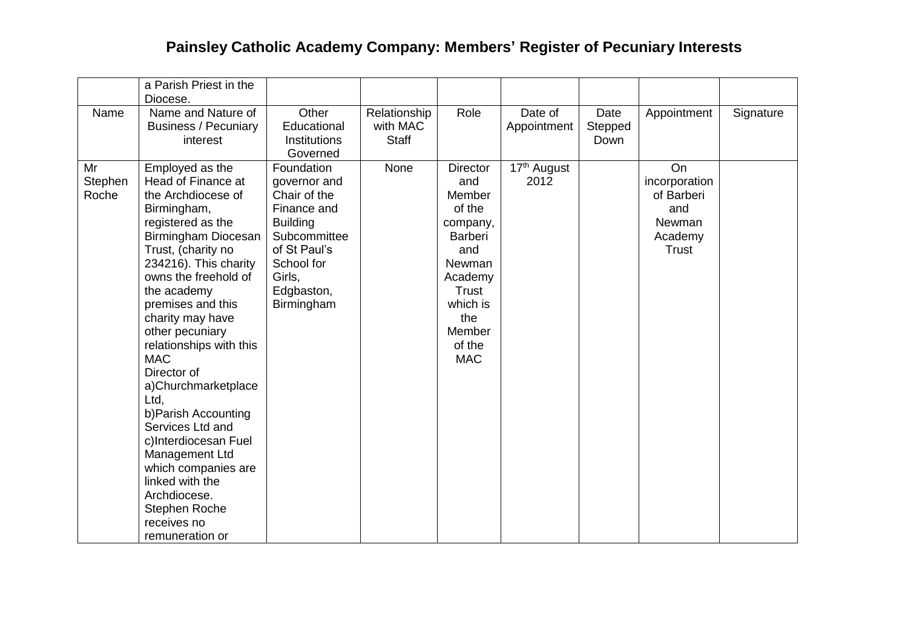|         | a Parish Priest in the                |                     |              |                  |                                      |         |               |           |
|---------|---------------------------------------|---------------------|--------------|------------------|--------------------------------------|---------|---------------|-----------|
|         | Diocese.                              |                     |              |                  |                                      |         |               |           |
| Name    | Name and Nature of                    | Other               | Relationship | Role             | Date of                              | Date    | Appointment   | Signature |
|         | <b>Business / Pecuniary</b>           | Educational         | with MAC     |                  | Appointment                          | Stepped |               |           |
|         | interest                              | <b>Institutions</b> | <b>Staff</b> |                  |                                      | Down    |               |           |
|         |                                       | Governed            |              |                  |                                      |         |               |           |
| Mr      | Employed as the                       | Foundation          | None         | <b>Director</b>  | $\overline{17}$ <sup>th</sup> August |         | On            |           |
| Stephen | Head of Finance at                    | governor and        |              | and              | 2012                                 |         | incorporation |           |
| Roche   | the Archdiocese of                    | Chair of the        |              | Member           |                                      |         | of Barberi    |           |
|         | Birmingham,                           | Finance and         |              | of the           |                                      |         | and           |           |
|         | registered as the                     | <b>Building</b>     |              | company,         |                                      |         | Newman        |           |
|         | Birmingham Diocesan                   | Subcommittee        |              | <b>Barberi</b>   |                                      |         | Academy       |           |
|         | Trust, (charity no                    | of St Paul's        |              | and              |                                      |         | <b>Trust</b>  |           |
|         | 234216). This charity                 | School for          |              | Newman           |                                      |         |               |           |
|         | owns the freehold of                  | Girls,              |              | Academy          |                                      |         |               |           |
|         | the academy                           | Edgbaston,          |              | <b>Trust</b>     |                                      |         |               |           |
|         | premises and this                     | Birmingham          |              | which is         |                                      |         |               |           |
|         | charity may have                      |                     |              | the              |                                      |         |               |           |
|         | other pecuniary                       |                     |              | Member<br>of the |                                      |         |               |           |
|         | relationships with this<br><b>MAC</b> |                     |              | <b>MAC</b>       |                                      |         |               |           |
|         | Director of                           |                     |              |                  |                                      |         |               |           |
|         |                                       |                     |              |                  |                                      |         |               |           |
|         | a)Churchmarketplace<br>Ltd,           |                     |              |                  |                                      |         |               |           |
|         | b) Parish Accounting                  |                     |              |                  |                                      |         |               |           |
|         | Services Ltd and                      |                     |              |                  |                                      |         |               |           |
|         | c)Interdiocesan Fuel                  |                     |              |                  |                                      |         |               |           |
|         | Management Ltd                        |                     |              |                  |                                      |         |               |           |
|         | which companies are                   |                     |              |                  |                                      |         |               |           |
|         | linked with the                       |                     |              |                  |                                      |         |               |           |
|         | Archdiocese.                          |                     |              |                  |                                      |         |               |           |
|         | Stephen Roche                         |                     |              |                  |                                      |         |               |           |
|         | receives no                           |                     |              |                  |                                      |         |               |           |
|         | remuneration or                       |                     |              |                  |                                      |         |               |           |